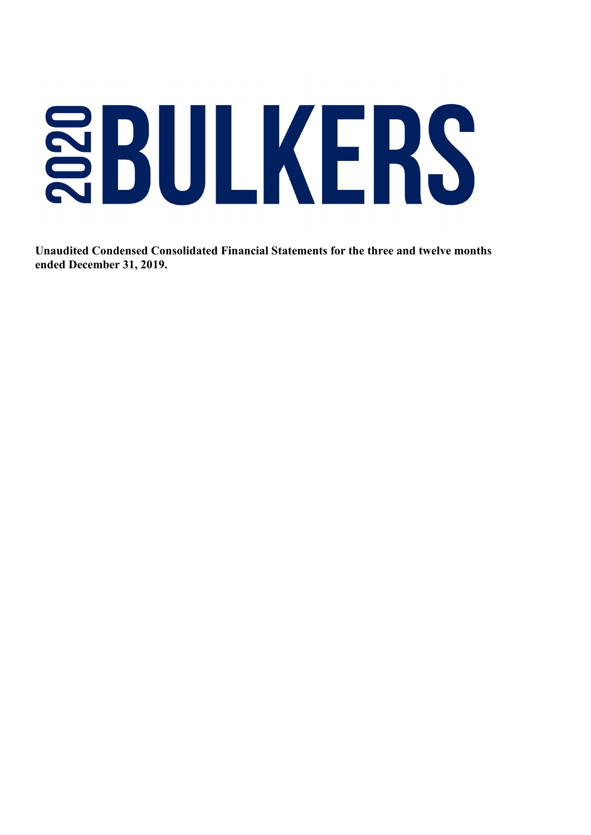# SBULKERS

**Unaudited Condensed Consolidated Financial Statements for the three and twelve months ended December 31, 2019.**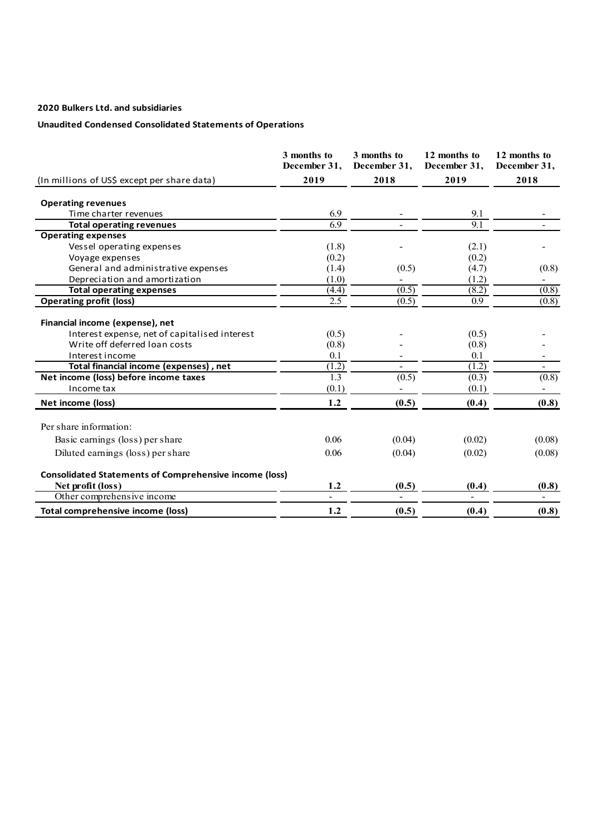# **Unaudited Condensed Consolidated Statements of Operations**

|                                                               | 3 months to<br>December 31, | 3 months to<br>December 31, | 12 months to<br>December 31, | 12 months to<br>December 31, |
|---------------------------------------------------------------|-----------------------------|-----------------------------|------------------------------|------------------------------|
| (In millions of US\$ except per share data)                   | 2019                        | 2018                        | 2019                         | 2018                         |
| <b>Operating revenues</b>                                     |                             |                             |                              |                              |
| Time charter revenues                                         | 6.9                         |                             | 9.1                          |                              |
| <b>Total operating revenues</b>                               | 6.9                         |                             | 9.1                          |                              |
| <b>Operating expenses</b>                                     |                             |                             |                              |                              |
| Vessel operating expenses                                     | (1.8)                       |                             | (2.1)                        |                              |
| Voyage expenses                                               | (0.2)                       |                             | (0.2)                        |                              |
| General and administrative expenses                           | (1.4)                       | (0.5)                       | (4.7)                        | (0.8)                        |
| Depreciation and amortization                                 | (1.0)                       |                             | (1.2)                        |                              |
| <b>Total operating expenses</b>                               | (4.4)                       | (0.5)                       | (8.2)                        | (0.8)                        |
| <b>Operating profit (loss)</b>                                | 2.5                         | (0.5)                       | 0.9 <sup>°</sup>             | (0.8)                        |
| Financial income (expense), net                               |                             |                             |                              |                              |
| Interest expense, net of capitalised interest                 | (0.5)                       |                             | (0.5)                        |                              |
| Write off deferred loan costs<br>Interest income              | (0.8)                       |                             | (0.8)                        |                              |
| Total financial income (expenses), net                        | 0.1<br>(1.2)                |                             | 0.1<br>(1.2)                 | $\blacksquare$               |
| Net income (loss) before income taxes                         | 1.3                         | (0.5)                       | (0.3)                        | (0.8)                        |
| Income tax                                                    | (0.1)                       |                             | (0.1)                        |                              |
| Net income (loss)                                             | 1.2                         | (0.5)                       | (0.4)                        | (0.8)                        |
| Per share information:                                        |                             |                             |                              |                              |
| Basic earnings (loss) per share                               | 0.06                        | (0.04)                      | (0.02)                       | (0.08)                       |
| Diluted earnings (loss) per share                             | 0.06                        | (0.04)                      | (0.02)                       | (0.08)                       |
| <b>Consolidated Statements of Comprehensive income (loss)</b> |                             |                             |                              |                              |
| Net profit (loss)                                             | 1.2                         | (0.5)                       | (0.4)                        | (0.8)                        |
| Other comprehensive income                                    | $\blacksquare$              | $\blacksquare$              | $\blacksquare$               | $\blacksquare$               |
| Total comprehensive income (loss)                             | 1.2                         | (0.5)                       | (0.4)                        | (0.8)                        |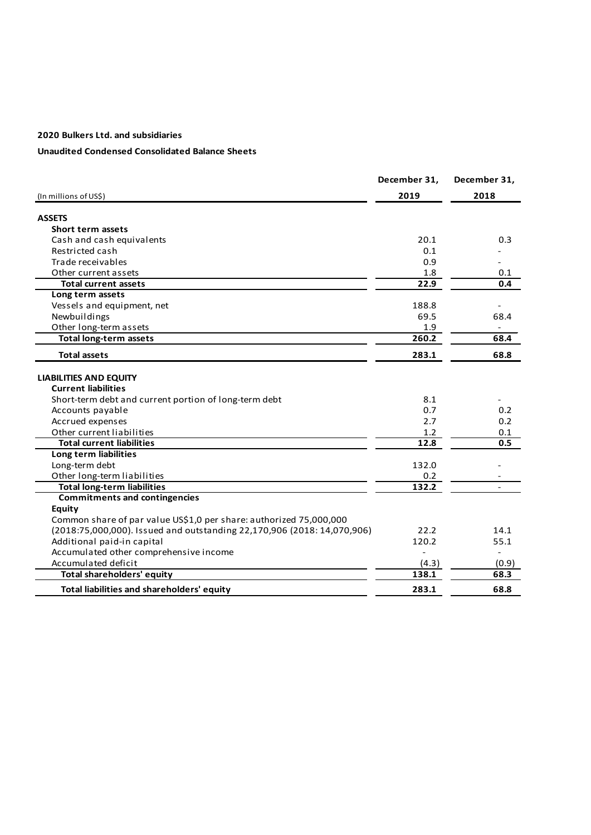# **Unaudited Condensed Consolidated Balance Sheets**

|                                                                         | December 31, | December 31,   |
|-------------------------------------------------------------------------|--------------|----------------|
| (In millions of US\$)                                                   | 2019         | 2018           |
| <b>ASSETS</b>                                                           |              |                |
| <b>Short term assets</b>                                                |              |                |
| Cash and cash equivalents                                               | 20.1         | 0.3            |
| Restricted cash                                                         | 0.1          |                |
| Trade receivables                                                       | 0.9          |                |
| Other current assets                                                    | 1.8          | 0.1            |
| <b>Total current assets</b>                                             | 22.9         | 0.4            |
| Long term assets                                                        |              |                |
| Vessels and equipment, net                                              | 188.8        |                |
| Newbuildings                                                            | 69.5         | 68.4           |
| Other long-term assets                                                  | 1.9          |                |
| <b>Total long-term assets</b>                                           | 260.2        | 68.4           |
|                                                                         |              |                |
| <b>Total assets</b>                                                     | 283.1        | 68.8           |
| <b>LIABILITIES AND EQUITY</b>                                           |              |                |
| <b>Current liabilities</b>                                              |              |                |
| Short-term debt and current portion of long-term debt                   | 8.1          |                |
| Accounts payable                                                        | 0.7          | 0.2            |
| Accrued expenses                                                        | 2.7          | 0.2            |
| Other current liabilities                                               | 1.2          | 0.1            |
| <b>Total current liabilities</b>                                        | 12.8         | 0.5            |
| Long term liabilities                                                   |              |                |
| Long-term debt                                                          | 132.0        |                |
| Other long-term liabilities                                             | 0.2          |                |
| <b>Total long-term liabilities</b>                                      | 132.2        |                |
| <b>Commitments and contingencies</b>                                    |              |                |
| <b>Equity</b>                                                           |              |                |
| Common share of par value US\$1,0 per share: authorized 75,000,000      |              |                |
| (2018:75,000,000). Issued and outstanding 22,170,906 (2018: 14,070,906) | 22.2         | 14.1           |
| Additional paid-in capital                                              | 120.2        | 55.1           |
| Accumulated other comprehensive income                                  |              | $\overline{a}$ |
| Accumulated deficit                                                     | (4.3)        | (0.9)          |
| <b>Total shareholders' equity</b>                                       | 138.1        | 68.3           |
| Total liabilities and shareholders' equity                              | 283.1        | 68.8           |
|                                                                         |              |                |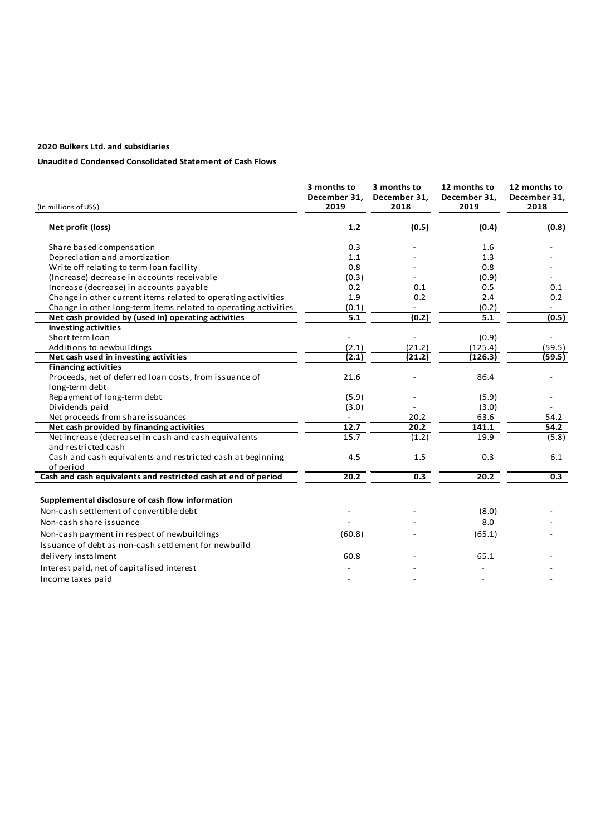#### **Unaudited Condensed Consolidated Statement of Cash Flows**

| (In millions of US\$)                                                       | 3 months to<br>December 31.<br>2019 | 3 months to<br>December 31,<br>2018 | 12 months to<br>December 31.<br>2019 | 12 months to<br>December 31,<br>2018 |
|-----------------------------------------------------------------------------|-------------------------------------|-------------------------------------|--------------------------------------|--------------------------------------|
| Net profit (loss)                                                           | 1.2                                 | (0.5)                               | (0.4)                                | (0.8)                                |
| Share based compensation                                                    | 0.3                                 |                                     | 1.6                                  |                                      |
| Depreciation and amortization                                               | 1.1                                 |                                     | 1.3                                  |                                      |
| Write off relating to term loan facility                                    | 0.8                                 |                                     | 0.8                                  |                                      |
| (Increase) decrease in accounts receivable                                  | (0.3)                               |                                     | (0.9)                                |                                      |
| Increase (decrease) in accounts payable                                     | 0.2                                 | 0.1                                 | 0.5                                  | 0.1                                  |
| Change in other current items related to operating activities               | 1.9                                 | 0.2                                 | 2.4                                  | 0.2                                  |
| Change in other long-term items related to operating activities             | (0.1)                               |                                     | (0.2)                                |                                      |
| Net cash provided by (used in) operating activities                         | $\overline{5.1}$                    | (0.2)                               | 5.1                                  | (0.5)                                |
| <b>Investing activities</b>                                                 |                                     |                                     |                                      |                                      |
| Short term loan                                                             |                                     |                                     | (0.9)                                |                                      |
| Additions to newbuildings                                                   | (2.1)                               | (21.2)                              | (125.4)                              | (59.5)                               |
| Net cash used in investing activities                                       | (2.1)                               | (21.2)                              | (126.3)                              | (59.5)                               |
| <b>Financing activities</b>                                                 |                                     |                                     |                                      |                                      |
| Proceeds, net of deferred loan costs, from issuance of                      | 21.6                                |                                     | 86.4                                 |                                      |
| long-term debt                                                              |                                     |                                     |                                      |                                      |
| Repayment of long-term debt                                                 | (5.9)                               |                                     | (5.9)                                |                                      |
| Dividends paid                                                              | (3.0)                               |                                     | (3.0)                                |                                      |
| Net proceeds from share issuances                                           |                                     | 20.2                                | 63.6                                 | 54.2                                 |
| Net cash provided by financing activities                                   | 12.7<br>15.7                        | 20.2                                | 141.1<br>19.9                        | 54.2                                 |
| Net increase (decrease) in cash and cash equivalents<br>and restricted cash |                                     | (1.2)                               |                                      | (5.8)                                |
| Cash and cash equivalents and restricted cash at beginning                  | 4.5                                 | 1.5                                 | 0.3                                  | 6.1                                  |
| of period                                                                   |                                     |                                     |                                      |                                      |
| Cash and cash equivalents and restricted cash at end of period              | 20.2                                | 0.3                                 | 20.2                                 | $\overline{0.3}$                     |
| Supplemental disclosure of cash flow information                            |                                     |                                     |                                      |                                      |
| Non-cash settlement of convertible debt                                     |                                     |                                     | (8.0)                                |                                      |
| Non-cash share issuance                                                     |                                     |                                     | 8.0                                  |                                      |
| Non-cash payment in respect of newbuildings                                 | (60.8)                              |                                     | (65.1)                               |                                      |
| Issuance of debt as non-cash settlement for newbuild                        |                                     |                                     |                                      |                                      |
|                                                                             |                                     |                                     |                                      |                                      |
| delivery instalment                                                         | 60.8                                |                                     | 65.1                                 |                                      |
| Interest paid, net of capitalised interest                                  |                                     |                                     |                                      |                                      |
| Income taxes paid                                                           |                                     |                                     |                                      |                                      |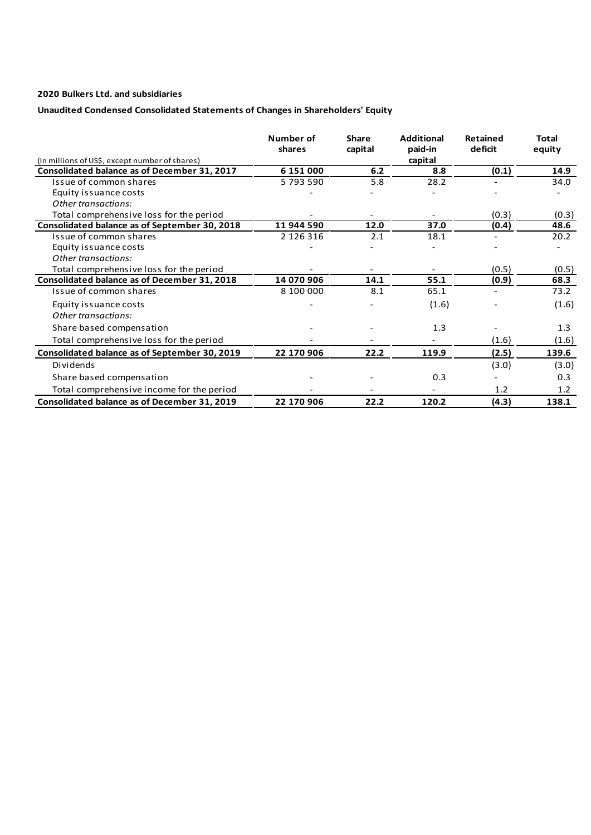# **Unaudited Condensed Consolidated Statements of Changes in Shareholders' Equity**

|                                                | Number of<br>shares | <b>Share</b><br>capital | <b>Additional</b><br>paid-in | <b>Retained</b><br>deficit | Total<br>equity |
|------------------------------------------------|---------------------|-------------------------|------------------------------|----------------------------|-----------------|
| (In millions of US\$, except number of shares) |                     |                         | capital                      |                            |                 |
| Consolidated balance as of December 31, 2017   | 6 151 000           | 6.2                     | 8.8                          | (0.1)                      | 14.9            |
| Issue of common shares                         | 5793590             | 5.8                     | 28.2                         |                            | 34.0            |
| Equity issuance costs                          |                     |                         |                              |                            |                 |
| Other transactions:                            |                     |                         |                              |                            |                 |
| Total comprehensive loss for the period        |                     |                         |                              | (0.3)                      | (0.3)           |
| Consolidated balance as of September 30, 2018  | 11 944 590          | 12.0                    | 37.0                         | (0.4)                      | 48.6            |
| Issue of common shares                         | 2 126 316           | 2.1                     | 18.1                         |                            | 20.2            |
| Equity issuance costs                          |                     |                         |                              |                            |                 |
| Other transactions:                            |                     |                         |                              |                            |                 |
| Total comprehensive loss for the period        |                     |                         |                              | (0.5)                      | (0.5)           |
| Consolidated balance as of December 31, 2018   | 14 070 906          | 14.1                    | 55.1                         | (0.9)                      | 68.3            |
| Issue of common shares                         | 8 100 000           | 8.1                     | 65.1                         |                            | 73.2            |
| Equity issuance costs<br>Other transactions:   |                     |                         | (1.6)                        |                            | (1.6)           |
| Share based compensation                       |                     |                         | 1.3                          |                            | 1.3             |
| Total comprehensive loss for the period        |                     |                         |                              | (1.6)                      | (1.6)           |
| Consolidated balance as of September 30, 2019  | 22 170 906          | 22.2                    | 119.9                        | (2.5)                      | 139.6           |
| Dividends                                      |                     |                         |                              | (3.0)                      | (3.0)           |
| Share based compensation                       |                     |                         | 0.3                          |                            | 0.3             |
| Total comprehensive income for the period      |                     |                         |                              | 1.2                        | 1.2             |
| Consolidated balance as of December 31, 2019   | 22 170 906          | 22.2                    | 120.2                        | (4.3)                      | 138.1           |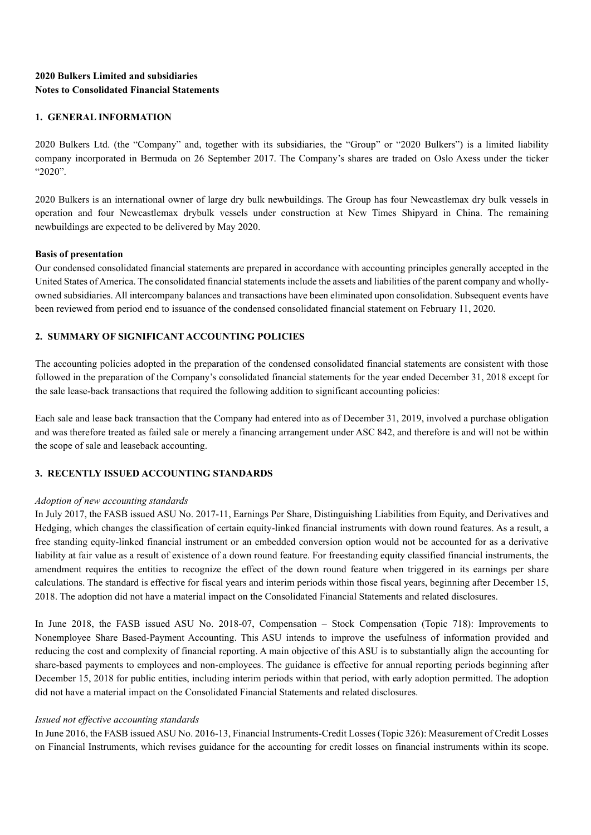# **2020 Bulkers Limited and subsidiaries Notes to Consolidated Financial Statements**

# **1. GENERAL INFORMATION**

2020 Bulkers Ltd. (the "Company" and, together with its subsidiaries, the "Group" or "2020 Bulkers") is a limited liability company incorporated in Bermuda on 26 September 2017. The Company's shares are traded on Oslo Axess under the ticker "2020".

2020 Bulkers is an international owner of large dry bulk newbuildings. The Group has four Newcastlemax dry bulk vessels in operation and four Newcastlemax drybulk vessels under construction at New Times Shipyard in China. The remaining newbuildings are expected to be delivered by May 2020.

# **Basis of presentation**

Our condensed consolidated financial statements are prepared in accordance with accounting principles generally accepted in the United States of America. The consolidated financial statements include the assets and liabilities of the parent company and whollyowned subsidiaries. All intercompany balances and transactions have been eliminated upon consolidation. Subsequent events have been reviewed from period end to issuance of the condensed consolidated financial statement on February 11, 2020.

# **2. SUMMARY OF SIGNIFICANT ACCOUNTING POLICIES**

The accounting policies adopted in the preparation of the condensed consolidated financial statements are consistent with those followed in the preparation of the Company's consolidated financial statements for the year ended December 31, 2018 except for the sale lease-back transactions that required the following addition to significant accounting policies:

Each sale and lease back transaction that the Company had entered into as of December 31, 2019, involved a purchase obligation and was therefore treated as failed sale or merely a financing arrangement under ASC 842, and therefore is and will not be within the scope of sale and leaseback accounting.

# **3. RECENTLY ISSUED ACCOUNTING STANDARDS**

# *Adoption of new accounting standards*

In July 2017, the FASB issued ASU No. 2017-11, Earnings Per Share, Distinguishing Liabilities from Equity, and Derivatives and Hedging, which changes the classification of certain equity-linked financial instruments with down round features. As a result, a free standing equity-linked financial instrument or an embedded conversion option would not be accounted for as a derivative liability at fair value as a result of existence of a down round feature. For freestanding equity classified financial instruments, the amendment requires the entities to recognize the effect of the down round feature when triggered in its earnings per share calculations. The standard is effective for fiscal years and interim periods within those fiscal years, beginning after December 15, 2018. The adoption did not have a material impact on the Consolidated Financial Statements and related disclosures.

In June 2018, the FASB issued ASU No. 2018-07, Compensation – Stock Compensation (Topic 718): Improvements to Nonemployee Share Based-Payment Accounting. This ASU intends to improve the usefulness of information provided and reducing the cost and complexity of financial reporting. A main objective of this ASU is to substantially align the accounting for share-based payments to employees and non-employees. The guidance is effective for annual reporting periods beginning after December 15, 2018 for public entities, including interim periods within that period, with early adoption permitted. The adoption did not have a material impact on the Consolidated Financial Statements and related disclosures.

# *Issued not effective accounting standards*

In June 2016, the FASB issued ASU No. 2016-13, Financial Instruments-Credit Losses (Topic 326): Measurement of Credit Losses on Financial Instruments, which revises guidance for the accounting for credit losses on financial instruments within its scope.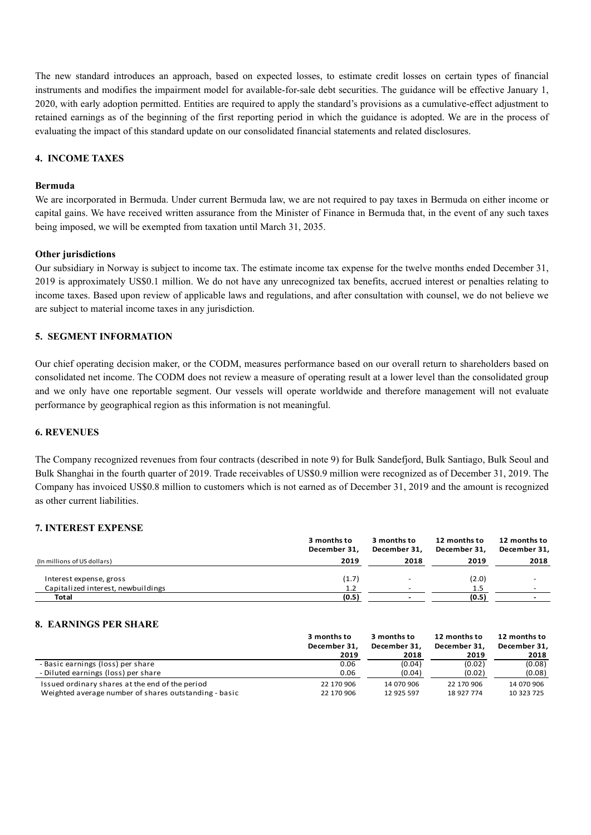The new standard introduces an approach, based on expected losses, to estimate credit losses on certain types of financial instruments and modifies the impairment model for available-for-sale debt securities. The guidance will be effective January 1, 2020, with early adoption permitted. Entities are required to apply the standard's provisions as a cumulative-effect adjustment to retained earnings as of the beginning of the first reporting period in which the guidance is adopted. We are in the process of evaluating the impact of this standard update on our consolidated financial statements and related disclosures.

# **4. INCOME TAXES**

## **Bermuda**

We are incorporated in Bermuda. Under current Bermuda law, we are not required to pay taxes in Bermuda on either income or capital gains. We have received written assurance from the Minister of Finance in Bermuda that, in the event of any such taxes being imposed, we will be exempted from taxation until March 31, 2035.

# **Other jurisdictions**

Our subsidiary in Norway is subject to income tax. The estimate income tax expense for the twelve months ended December 31, 2019 is approximately US\$0.1 million. We do not have any unrecognized tax benefits, accrued interest or penalties relating to income taxes. Based upon review of applicable laws and regulations, and after consultation with counsel, we do not believe we are subject to material income taxes in any jurisdiction.

# **5. SEGMENT INFORMATION**

Our chief operating decision maker, or the CODM, measures performance based on our overall return to shareholders based on consolidated net income. The CODM does not review a measure of operating result at a lower level than the consolidated group and we only have one reportable segment. Our vessels will operate worldwide and therefore management will not evaluate performance by geographical region as this information is not meaningful.

#### **6. REVENUES**

The Company recognized revenues from four contracts (described in note 9) for Bulk Sandefjord, Bulk Santiago, Bulk Seoul and Bulk Shanghai in the fourth quarter of 2019. Trade receivables of US\$0.9 million were recognized as of December 31, 2019. The Company has invoiced US\$0.8 million to customers which is not earned as of December 31, 2019 and the amount is recognized as other current liabilities.

#### **7. INTEREST EXPENSE**

|                                    | 3 months to<br>December 31. | 3 months to<br>December 31. | 12 months to<br>December 31, | 12 months to<br>December 31, |
|------------------------------------|-----------------------------|-----------------------------|------------------------------|------------------------------|
| (In millions of US dollars)        | 2019                        | 2018                        | 2019                         | 2018                         |
| Interest expense, gross            | (1.7)                       |                             | (2.0)                        |                              |
| Capitalized interest, newbuildings | 1.2                         | $\overline{\phantom{a}}$    | 1.5                          | $\overline{a}$               |
| Total                              | (0.5)                       |                             | (0.5)                        |                              |

# **8. EARNINGS PER SHARE**

|                                                       | 3 months to  | 3 months to  | 12 months to | 12 months to |
|-------------------------------------------------------|--------------|--------------|--------------|--------------|
|                                                       | December 31. | December 31. | December 31. | December 31. |
|                                                       | 2019         | 2018         | 2019         | 2018         |
| - Basic earnings (loss) per share                     | 0.06         | (0.04)       | (0.02)       | (0.08)       |
| - Diluted earnings (loss) per share                   | 0.06         | (0.04)       | (0.02)       | (0.08)       |
| Issued ordinary shares at the end of the period       | 22 170 906   | 14 070 906   | 22 170 906   | 14 070 906   |
| Weighted average number of shares outstanding - basic | 22 170 906   | 12 925 597   | 18 927 774   | 10 323 725   |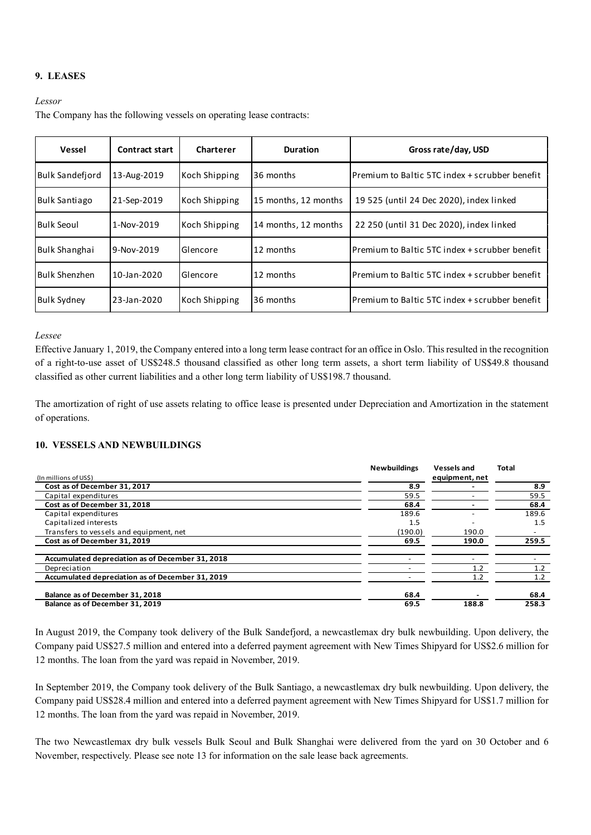# **9. LEASES**

#### *Lessor*

The Company has the following vessels on operating lease contracts:

| Vessel               | Contract start | Charterer     | Duration             | Gross rate/day, USD                             |
|----------------------|----------------|---------------|----------------------|-------------------------------------------------|
| Bulk Sandefiord      | 13-Aug-2019    | Koch Shipping | 36 months            | Premium to Baltic 5TC index + scrubber benefit  |
| <b>Bulk Santiago</b> | 21-Sep-2019    | Koch Shipping | 15 months, 12 months | 19 525 (until 24 Dec 2020), index linked        |
| Bulk Seoul           | 1-Nov-2019     | Koch Shipping | 14 months, 12 months | 22 250 (until 31 Dec 2020), index linked        |
| Bulk Shanghai        | 9-Nov-2019     | Glencore      | 12 months            | Premium to Baltic 5TC index + scrubber benefit  |
| <b>Bulk Shenzhen</b> | 10-Jan-2020    | Glencore      | 12 months            | Premium to Baltic 5TC index + scrubber benefit  |
| <b>Bulk Sydney</b>   | 23-Jan-2020    | Koch Shipping | 36 months            | lPremium to Baltic 5TC index + scrubber benefit |

#### *Lessee*

Effective January 1, 2019, the Company entered into a long term lease contract for an office in Oslo. This resulted in the recognition of a right-to-use asset of US\$248.5 thousand classified as other long term assets, a short term liability of US\$49.8 thousand classified as other current liabilities and a other long term liability of US\$198.7 thousand.

The amortization of right of use assets relating to office lease is presented under Depreciation and Amortization in the statement of operations.

# **10. VESSELS AND NEWBUILDINGS**

|                                                  | <b>Newbuildings</b> | <b>Vessels and</b> | <b>Total</b> |
|--------------------------------------------------|---------------------|--------------------|--------------|
| (In millions of US\$)                            |                     | equipment, net     |              |
| Cost as of December 31, 2017                     | 8.9                 |                    | 8.9          |
| Capital expenditures                             | 59.5                |                    | 59.5         |
| Cost as of December 31, 2018                     | 68.4                |                    | 68.4         |
| Capital expenditures                             | 189.6               |                    | 189.6        |
| Capitalized interests                            | 1.5                 |                    | 1.5          |
| Transfers to vessels and equipment, net          | (190.0)             | 190.0              |              |
| Cost as of December 31, 2019                     | 69.5                | 190.0              | 259.5        |
| Accumulated depreciation as of December 31, 2018 |                     |                    |              |
| Depreciation                                     |                     | 1.2                | 1.2          |
| Accumulated depreciation as of December 31, 2019 |                     | 1.2                | 1.2          |
| Balance as of December 31, 2018                  | 68.4                |                    | 68.4         |
| Balance as of December 31, 2019                  | 69.5                | 188.8              | 258.3        |

In August 2019, the Company took delivery of the Bulk Sandefjord, a newcastlemax dry bulk newbuilding. Upon delivery, the Company paid US\$27.5 million and entered into a deferred payment agreement with New Times Shipyard for US\$2.6 million for 12 months. The loan from the yard was repaid in November, 2019.

In September 2019, the Company took delivery of the Bulk Santiago, a newcastlemax dry bulk newbuilding. Upon delivery, the Company paid US\$28.4 million and entered into a deferred payment agreement with New Times Shipyard for US\$1.7 million for 12 months. The loan from the yard was repaid in November, 2019.

The two Newcastlemax dry bulk vessels Bulk Seoul and Bulk Shanghai were delivered from the yard on 30 October and 6 November, respectively. Please see note 13 for information on the sale lease back agreements.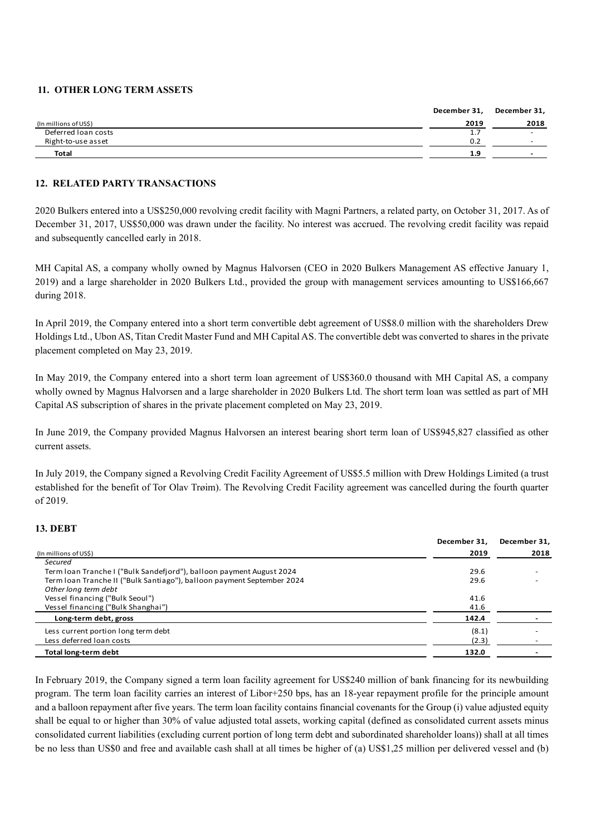# **11. OTHER LONG TERM ASSETS**

|                       | December 31, | December 31,             |
|-----------------------|--------------|--------------------------|
| (In millions of US\$) | 2019         | 2018                     |
| Deferred Ioan costs   | 1.7          | $\overline{\phantom{0}}$ |
| Right-to-use asset    | 0.2          | $\overline{\phantom{0}}$ |
| <b>Total</b>          | 1.9          | $\overline{\phantom{0}}$ |

# **12. RELATED PARTY TRANSACTIONS**

2020 Bulkers entered into a US\$250,000 revolving credit facility with Magni Partners, a related party, on October 31, 2017. As of December 31, 2017, US\$50,000 was drawn under the facility. No interest was accrued. The revolving credit facility was repaid and subsequently cancelled early in 2018.

MH Capital AS, a company wholly owned by Magnus Halvorsen (CEO in 2020 Bulkers Management AS effective January 1, 2019) and a large shareholder in 2020 Bulkers Ltd., provided the group with management services amounting to US\$166,667 during 2018.

In April 2019, the Company entered into a short term convertible debt agreement of US\$8.0 million with the shareholders Drew Holdings Ltd., Ubon AS, Titan Credit Master Fund and MH Capital AS. The convertible debt was converted to shares in the private placement completed on May 23, 2019.

In May 2019, the Company entered into a short term loan agreement of US\$360.0 thousand with MH Capital AS, a company wholly owned by Magnus Halvorsen and a large shareholder in 2020 Bulkers Ltd. The short term loan was settled as part of MH Capital AS subscription of shares in the private placement completed on May 23, 2019.

In June 2019, the Company provided Magnus Halvorsen an interest bearing short term loan of US\$945,827 classified as other current assets.

In July 2019, the Company signed a Revolving Credit Facility Agreement of US\$5.5 million with Drew Holdings Limited (a trust established for the benefit of Tor Olav Trøim). The Revolving Credit Facility agreement was cancelled during the fourth quarter of 2019.

# **13. DEBT**

|                                                                        | December 31, | December 31. |
|------------------------------------------------------------------------|--------------|--------------|
| (In millions of US\$)                                                  | 2019         | 2018         |
| Secured                                                                |              |              |
| Term Ioan Tranche I ("Bulk Sandefjord"), balloon payment August 2024   | 29.6         |              |
| Term Ioan Tranche II ("Bulk Santiago"), balloon payment September 2024 | 29.6         |              |
| Other long term debt                                                   |              |              |
| Vessel financing ("Bulk Seoul")                                        | 41.6         |              |
| Vessel financing ("Bulk Shanghai")                                     | 41.6         |              |
| Long-term debt, gross                                                  | 142.4        |              |
| Less current portion long term debt                                    | (8.1)        |              |
| Less deferred loan costs                                               | (2.3)        |              |
| Total long-term debt                                                   | 132.0        |              |

In February 2019, the Company signed a term loan facility agreement for US\$240 million of bank financing for its newbuilding program. The term loan facility carries an interest of Libor+250 bps, has an 18-year repayment profile for the principle amount and a balloon repayment after five years. The term loan facility contains financial covenants for the Group (i) value adjusted equity shall be equal to or higher than 30% of value adjusted total assets, working capital (defined as consolidated current assets minus consolidated current liabilities (excluding current portion of long term debt and subordinated shareholder loans)) shall at all times be no less than US\$0 and free and available cash shall at all times be higher of (a) US\$1,25 million per delivered vessel and (b)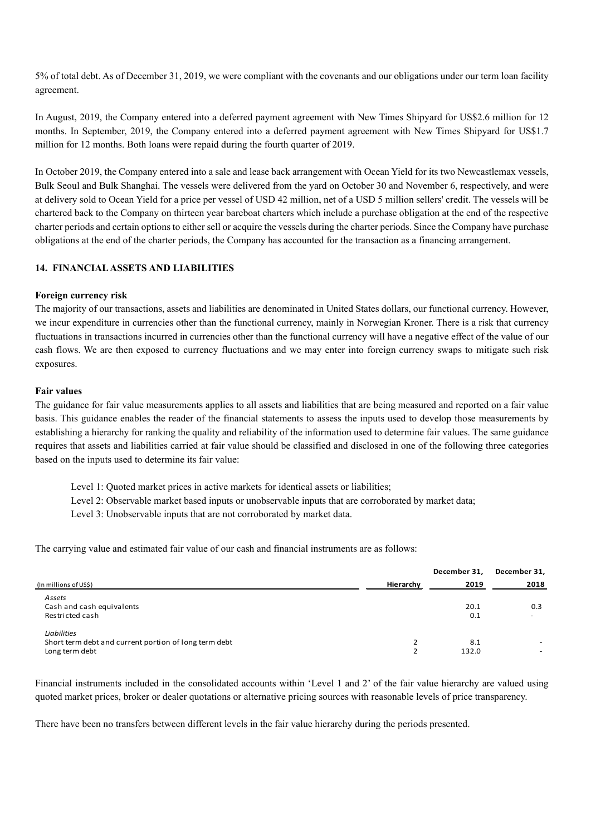5% of total debt. As of December 31, 2019, we were compliant with the covenants and our obligations under our term loan facility agreement.

In August, 2019, the Company entered into a deferred payment agreement with New Times Shipyard for US\$2.6 million for 12 months. In September, 2019, the Company entered into a deferred payment agreement with New Times Shipyard for US\$1.7 million for 12 months. Both loans were repaid during the fourth quarter of 2019.

In October 2019, the Company entered into a sale and lease back arrangement with Ocean Yield for its two Newcastlemax vessels, Bulk Seoul and Bulk Shanghai. The vessels were delivered from the yard on October 30 and November 6, respectively, and were at delivery sold to Ocean Yield for a price per vessel of USD 42 million, net of a USD 5 million sellers' credit. The vessels will be chartered back to the Company on thirteen year bareboat charters which include a purchase obligation at the end of the respective charter periods and certain options to either sell or acquire the vessels during the charter periods. Since the Company have purchase obligations at the end of the charter periods, the Company has accounted for the transaction as a financing arrangement.

# **14. FINANCIAL ASSETS AND LIABILITIES**

# **Foreign currency risk**

The majority of our transactions, assets and liabilities are denominated in United States dollars, our functional currency. However, we incur expenditure in currencies other than the functional currency, mainly in Norwegian Kroner. There is a risk that currency fluctuations in transactions incurred in currencies other than the functional currency will have a negative effect of the value of our cash flows. We are then exposed to currency fluctuations and we may enter into foreign currency swaps to mitigate such risk exposures.

### **Fair values**

The guidance for fair value measurements applies to all assets and liabilities that are being measured and reported on a fair value basis. This guidance enables the reader of the financial statements to assess the inputs used to develop those measurements by establishing a hierarchy for ranking the quality and reliability of the information used to determine fair values. The same guidance requires that assets and liabilities carried at fair value should be classified and disclosed in one of the following three categories based on the inputs used to determine its fair value:

Level 1: Quoted market prices in active markets for identical assets or liabilities;

Level 2: Observable market based inputs or unobservable inputs that are corroborated by market data;

Level 3: Unobservable inputs that are not corroborated by market data.

The carrying value and estimated fair value of our cash and financial instruments are as follows:

|                                                                                               |           | December 31, | December 31,                    |
|-----------------------------------------------------------------------------------------------|-----------|--------------|---------------------------------|
| (In millions of US\$)                                                                         | Hierarchy | 2019         | 2018                            |
| Assets<br>Cash and cash equivalents<br>Restricted cash                                        |           | 20.1<br>0.1  | 0.3<br>$\overline{\phantom{0}}$ |
| <b>Liabilities</b><br>Short term debt and current portion of long term debt<br>Long term debt | ∍         | 8.1<br>132.0 | -                               |

Financial instruments included in the consolidated accounts within 'Level 1 and 2' of the fair value hierarchy are valued using quoted market prices, broker or dealer quotations or alternative pricing sources with reasonable levels of price transparency.

There have been no transfers between different levels in the fair value hierarchy during the periods presented.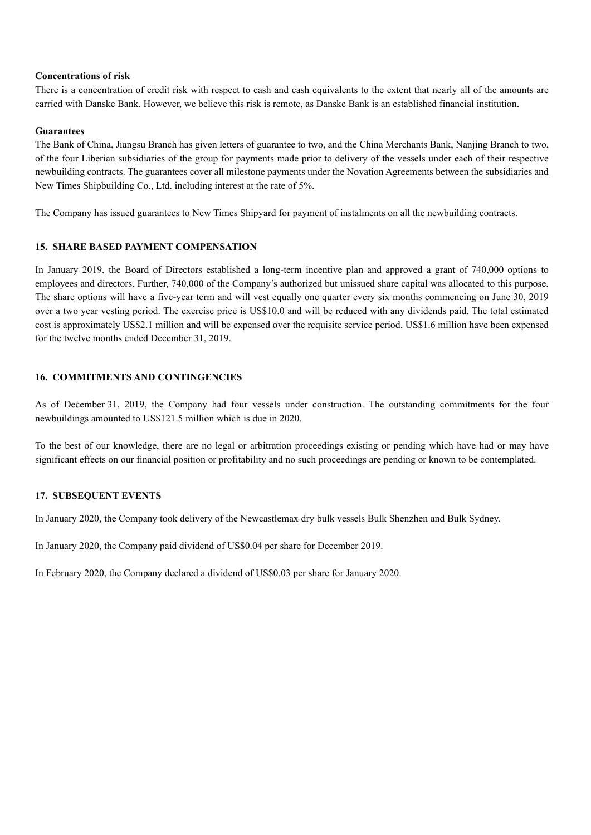# **Concentrations of risk**

There is a concentration of credit risk with respect to cash and cash equivalents to the extent that nearly all of the amounts are carried with Danske Bank. However, we believe this risk is remote, as Danske Bank is an established financial institution.

# **Guarantees**

The Bank of China, Jiangsu Branch has given letters of guarantee to two, and the China Merchants Bank, Nanjing Branch to two, of the four Liberian subsidiaries of the group for payments made prior to delivery of the vessels under each of their respective newbuilding contracts. The guarantees cover all milestone payments under the Novation Agreements between the subsidiaries and New Times Shipbuilding Co., Ltd. including interest at the rate of 5%.

The Company has issued guarantees to New Times Shipyard for payment of instalments on all the newbuilding contracts.

# **15. SHARE BASED PAYMENT COMPENSATION**

In January 2019, the Board of Directors established a long-term incentive plan and approved a grant of 740,000 options to employees and directors. Further, 740,000 of the Company's authorized but unissued share capital was allocated to this purpose. The share options will have a five-year term and will vest equally one quarter every six months commencing on June 30, 2019 over a two year vesting period. The exercise price is US\$10.0 and will be reduced with any dividends paid. The total estimated cost is approximately US\$2.1 million and will be expensed over the requisite service period. US\$1.6 million have been expensed for the twelve months ended December 31, 2019.

# **16. COMMITMENTS AND CONTINGENCIES**

As of December 31, 2019, the Company had four vessels under construction. The outstanding commitments for the four newbuildings amounted to US\$121.5 million which is due in 2020.

To the best of our knowledge, there are no legal or arbitration proceedings existing or pending which have had or may have significant effects on our financial position or profitability and no such proceedings are pending or known to be contemplated.

# **17. SUBSEQUENT EVENTS**

In January 2020, the Company took delivery of the Newcastlemax dry bulk vessels Bulk Shenzhen and Bulk Sydney.

In January 2020, the Company paid dividend of US\$0.04 per share for December 2019.

In February 2020, the Company declared a dividend of US\$0.03 per share for January 2020.